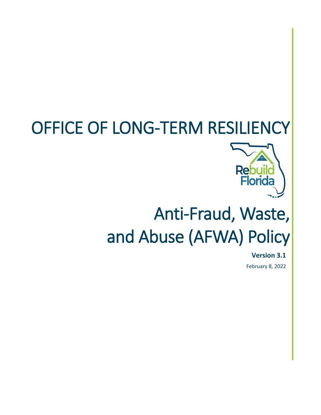## OFFICE OF LONG-TERM RESILIENCY



# Anti-Fraud, Waste, and Abuse (AFWA) Policy

**Version 3.1** February 8, 2022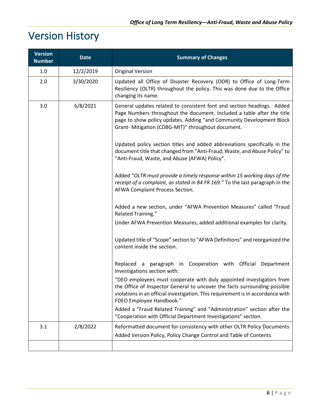## Version History

| <b>Version</b><br><b>Number</b> | <b>Date</b>                                                                                     | <b>Summary of Changes</b>                                                                                                                                                                                                                                                      |
|---------------------------------|-------------------------------------------------------------------------------------------------|--------------------------------------------------------------------------------------------------------------------------------------------------------------------------------------------------------------------------------------------------------------------------------|
| 1.0                             | 12/2/2019                                                                                       | <b>Original Version</b>                                                                                                                                                                                                                                                        |
| 2.0                             | 3/30/2020                                                                                       | Updated all Office of Disaster Recovery (ODR) to Office of Long-Term<br>Resiliency (OLTR) throughout the policy. This was done due to the Office<br>changing its name.                                                                                                         |
| 3.0                             | 6/8/2021                                                                                        | General updates related to consistent font and section headings. Added<br>Page Numbers throughout the document. Included a table after the title<br>page to show policy updates. Adding "and Community Development Block<br>Grant- Mitigation (CDBG-MIT)" throughout document. |
|                                 |                                                                                                 | Updated policy section titles and added abbreviations specifically in the<br>document title that changed from "Anti-Fraud, Waste, and Abuse Policy" to<br>"Anti-Fraud, Waste, and Abuse (AFWA) Policy".                                                                        |
|                                 |                                                                                                 | Added "OLTR must provide a timely response within 15 working days of the<br>receipt of a complaint, as stated in 84 FR 169." To the last paragraph in the<br>AFWA Complaint Process Section.                                                                                   |
|                                 |                                                                                                 | Added a new section, under "AFWA Prevention Measures" called "Fraud<br>Related Training."                                                                                                                                                                                      |
|                                 |                                                                                                 | Under AFWA Prevention Measures, added additional examples for clarity.                                                                                                                                                                                                         |
|                                 |                                                                                                 | Updated title of "Scope" section to "AFWA Definitions" and reorganized the<br>content inside the section.                                                                                                                                                                      |
|                                 | Replaced a paragraph in Cooperation with Official<br>Department<br>Investigations section with: |                                                                                                                                                                                                                                                                                |
|                                 |                                                                                                 | "DEO employees must cooperate with duly appointed investigators from<br>the Office of Inspector General to uncover the facts surrounding possible<br>violations in an official investigation. This requirement is in accordance with<br>FDEO Employee Handbook."               |
|                                 |                                                                                                 | Added a "Fraud Related Training" and "Administration" section after the<br>"Cooperation with Official Department Investigations" section.                                                                                                                                      |
| 3.1                             | 2/8/2022                                                                                        | Reformatted document for consistency with other OLTR Policy Documents<br>Added Version Policy, Policy Change Control and Table of Contents                                                                                                                                     |
|                                 |                                                                                                 |                                                                                                                                                                                                                                                                                |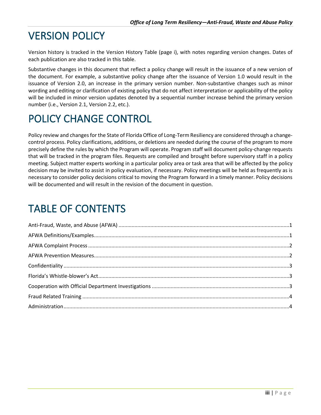## VERSION POLICY

Version history is tracked in the Version History Table (page i), with notes regarding version changes. Dates of each publication are also tracked in this table.

Substantive changes in this document that reflect a policy change will result in the issuance of a new version of the document. For example, a substantive policy change after the issuance of Version 1.0 would result in the issuance of Version 2.0, an increase in the primary version number. Non-substantive changes such as minor wording and editing or clarification of existing policy that do not affect interpretation or applicability of the policy will be included in minor version updates denoted by a sequential number increase behind the primary version number (i.e., Version 2.1, Version 2.2, etc.).

## POLICY CHANGE CONTROL

Policy review and changes for the State of Florida Office of Long-Term Resiliency are considered through a changecontrol process. Policy clarifications, additions, or deletions are needed during the course of the program to more precisely define the rules by which the Program will operate. Program staff will document policy-change requests that will be tracked in the program files. Requests are compiled and brought before supervisory staff in a policy meeting. Subject matter experts working in a particular policy area or task area that will be affected by the policy decision may be invited to assist in policy evaluation, if necessary. Policy meetings will be held as frequently as is necessary to consider policy decisions critical to moving the Program forward in a timely manner. Policy decisions will be documented and will result in the revision of the document in question.

#### TABLE OF CONTENTS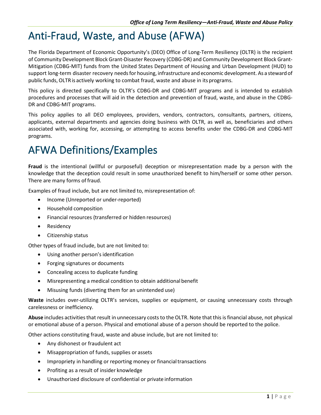## <span id="page-3-0"></span>Anti-Fraud, Waste, and Abuse (AFWA)

The Florida Department of Economic Opportunity's (DEO) Office of Long-Term Resiliency (OLTR) is the recipient of Community Development Block Grant-Disaster Recovery (CDBG-DR) and Community Development Block Grant-Mitigation (CDBG-MIT) funds from the United States Department of Housing and Urban Development (HUD) to support long-term disaster recovery needsfor housing, infrastructure and economic development. As a stewardof public funds,OLTRis actively working to combat fraud, waste and abuse in its programs.

This policy is directed specifically to OLTR's CDBG-DR and CDBG-MIT programs and is intended to establish procedures and processes that will aid in the detection and prevention of fraud, waste, and abuse in the CDBG-DR and CDBG-MIT programs.

This policy applies to all DEO employees, providers, vendors, contractors, consultants, partners, citizens, applicants, external departments and agencies doing business with OLTR, as well as, beneficiaries and others associated with, working for, accessing, or attempting to access benefits under the CDBG-DR and CDBG-MIT programs.

#### <span id="page-3-1"></span>AFWA Definitions/Examples

**Fraud** is the intentional (willful or purposeful) deception or misrepresentation made by a person with the knowledge that the deception could result in some unauthorized benefit to him/herself or some other person. There are many forms of fraud.

Examples of fraud include, but are not limited to, misrepresentation of:

- Income (Unreported or under-reported)
- Household composition
- Financial resources (transferred or hidden resources)
- Residency
- Citizenship status

Other types of fraud include, but are not limited to:

- Using another person's identification
- Forging signatures or documents
- Concealing access to duplicate funding
- Misrepresenting a medical condition to obtain additional benefit
- Misusing funds (diverting them for an unintended use)

**Waste** includes over-utilizing OLTR's services, supplies or equipment, or causing unnecessary costs through carelessness or inefficiency.

**Abuse** includes activitiesthat result in unnecessary coststo the OLTR. Note that this isfinancial abuse, not physical or emotional abuse of a person. Physical and emotional abuse of a person should be reported to the police.

Other actions constituting fraud, waste and abuse include, but are not limited to:

- Any dishonest or fraudulent act
- Misappropriation of funds, supplies or assets
- Impropriety in handling or reporting money or financial transactions
- Profiting as a result of insider knowledge
- Unauthorized disclosure of confidential or private information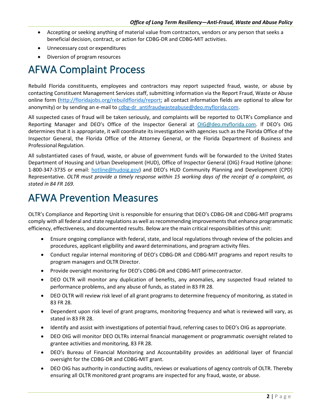- Accepting or seeking anything of material value from contractors, vendors or any person that seeks a beneficial decision, contract, or action for CDBG-DR and CDBG-MIT activities.
- Unnecessary cost or expenditures
- Diversion of program resources

#### <span id="page-4-0"></span>AFWA Complaint Process

Rebuild Florida constituents, employees and contractors may report suspected fraud, waste, or abuse by contacting Constituent Management Services staff, submitting information via the Report Fraud, Waste or Abuse online form [\(http://floridajobs.org/rebuildflorida/report; a](http://floridajobs.org/rebuildflorida/report)ll contact information fields are optional to allow for anonymity) or by sending an e-mail to cdbg[-dr\\_antifraudwasteabuse@deo.myflorida.com.](mailto:cdbg-dr_antifraudwasteabuse@deo.myflorida.com)

All suspected cases of fraud will be taken seriously, and complaints will be reported to OLTR's Compliance and Reporting Manager and DEO's Office of the Inspector General at [OIG@deo.myflorida.com.](mailto:OIG@deo.myflorida.com) If DEO's OIG determines that it is appropriate, it will coordinate its investigation with agencies such as the Florida Office of the Inspector General, the Florida Office of the Attorney General, or the Florida Department of Business and Professional Regulation.

All substantiated cases of fraud, waste, or abuse of government funds will be forwarded to the United States Department of Housing and Urban Development (HUD), Office of Inspector General (OIG) Fraud Hotline (phone: 1-800-347-3735 or email: [hotline@hudoig.gov\)](mailto:hotline@hudoig.gov) and DEO's HUD Community Planning and Development (CPD) Representative. *OLTR must provide a timely response within 15 working days of the receipt of a complaint, as stated in 84 FR 169.*

#### <span id="page-4-1"></span>AFWA Prevention Measures

OLTR's Compliance and Reporting Unit is responsible for ensuring that DEO's CDBG-DR and CDBG-MIT programs comply with all federal and state regulations as well as recommending improvements that enhance programmatic efficiency, effectiveness, and documented results. Below are the main critical responsibilities of this unit:

- Ensure ongoing compliance with federal, state, and local regulations through review of the policies and procedures, applicant eligibility and award determinations, and program activity files.
- Conduct regular internal monitoring of DEO's CDBG-DR and CDBG-MIT programs and report results to program managers and OLTR Director.
- Provide oversight monitoring for DEO's CDBG-DR and CDBG-MIT primecontractor.
- DEO OLTR will monitor any duplication of benefits, any anomalies, any suspected fraud related to performance problems, and any abuse of funds, as stated in 83 FR 28.
- DEO OLTR will review risk level of all grant programs to determine frequency of monitoring, as stated in 83 FR 28.
- Dependent upon risk level of grant programs, monitoring frequency and what is reviewed will vary, as stated in 83 FR 28.
- Identify and assist with investigations of potential fraud, referring cases to DEO's OIG as appropriate.
- DEO OIG will monitor DEO OLTRs internal financial management or programmatic oversight related to grantee activities and monitoring, 83 FR 28.
- DEO's Bureau of Financial Monitoring and Accountability provides an additional layer of financial oversight for the CDBG-DR and CDBG-MIT grant.
- DEO OIG has authority in conducting audits, reviews or evaluations of agency controls of OLTR. Thereby ensuring all OLTR monitored grant programs are inspected for any fraud, waste, or abuse.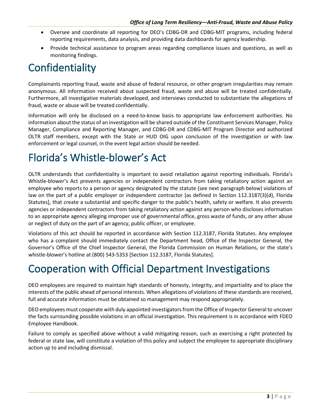- Oversee and coordinate all reporting for DEO's CDBG-DR and CDBG-MIT programs, including federal reporting requirements, data analysis, and providing data dashboards for agency leadership.
- Provide technical assistance to program areas regarding compliance issues and questions, as well as monitoring findings.

## <span id="page-5-0"></span>Confidentiality

Complainants reporting fraud, waste and abuse of federal resource, or other program irregularities may remain anonymous. All information received about suspected fraud, waste and abuse will be treated confidentially. Furthermore, all investigative materials developed, and interviews conducted to substantiate the allegations of fraud, waste or abuse will be treated confidentially.

Information will only be disclosed on a need-to-know basis to appropriate law enforcement authorities. No information about the status of an investigation will be shared outside of the Constituent Services Manager, Policy Manager, Compliance and Reporting Manager, and CDBG-DR and CDBG-MIT Program Director and authorized OLTR staff members, except with the State or HUD OIG upon conclusion of the investigation or with law enforcement or legal counsel, in the event legal action should be needed.

## <span id="page-5-1"></span>Florida's Whistle-blower's Act

OLTR understands that confidentiality is important to avoid retaliation against reporting individuals. Florida's Whistle-blower's Act prevents agencies or independent contractors from taking retaliatory action against an employee who reports to a person or agency designated by the statute (see next paragraph below) violations of law on the part of a public employer or independent contractor [as defined in Section 112.3187(3)(d), Florida Statutes], that create a substantial and specific danger to the public's health, safety or welfare. It also prevents agencies or independent contractors from taking retaliatory action against any person who discloses information to an appropriate agency alleging improper use of governmental office, gross waste of funds, or any other abuse or neglect of duty on the part of an agency, public officer, or employee.

Violations of this act should be reported in accordance with Section 112.3187, Florida Statutes. Any employee who has a complaint should immediately contact the Department head, Office of the Inspector General, the Governor's Office of the Chief Inspector General, the Florida Commission on Human Relations, or the state's whistle-blower's hotline at (800) 543-5353 [Section 112.3187, Florida Statutes].

## <span id="page-5-2"></span>Cooperation with Official Department Investigations

DEO employees are required to maintain high standards of honesty, integrity, and impartiality and to place the interests of the public ahead of personal interests. When allegations of violations of these standards are received, full and accurate information must be obtained so management may respond appropriately.

DEO employees must cooperate with duly appointed investigators from the Office of Inspector General to uncover the facts surrounding possible violations in an official investigation. This requirement is in accordance with FDEO Employee Handbook.

Failure to comply as specified above without a valid mitigating reason, such as exercising a right protected by federal or state law, will constitute a violation of this policy and subject the employee to appropriate disciplinary action up to and including dismissal.